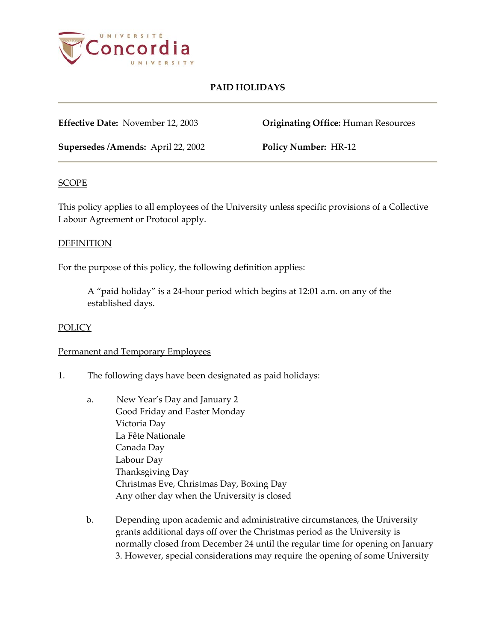

## **PAID HOLIDAYS**

**Effective Date:** November 12, 2003 **Originating Office:** Human Resources

**Supersedes /Amends:** April 22, 2002 **Policy Number:** HR-12

## **SCOPE**

This policy applies to all employees of the University unless specific provisions of a Collective Labour Agreement or Protocol apply.

#### DEFINITION

For the purpose of this policy, the following definition applies:

A "paid holiday" is a 24-hour period which begins at 12:01 a.m. on any of the established days.

## **POLICY**

## Permanent and Temporary Employees

- 1. The following days have been designated as paid holidays:
	- a. New Year's Day and January 2 Good Friday and Easter Monday Victoria Day La Fête Nationale Canada Day Labour Day Thanksgiving Day Christmas Eve, Christmas Day, Boxing Day Any other day when the University is closed
	- b. Depending upon academic and administrative circumstances, the University grants additional days off over the Christmas period as the University is normally closed from December 24 until the regular time for opening on January 3. However, special considerations may require the opening of some University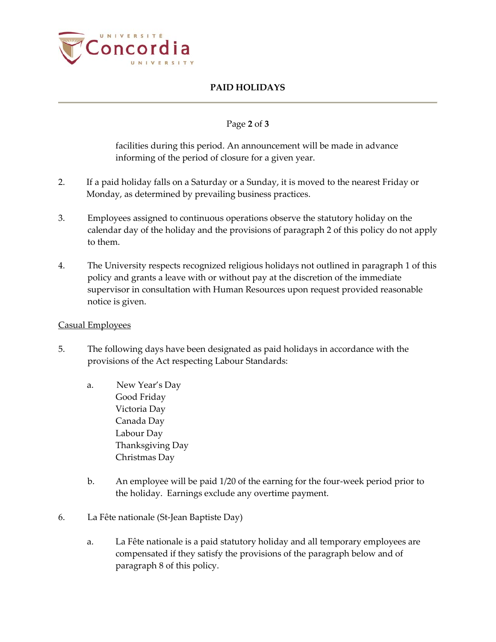

# **PAID HOLIDAYS**

## Page **2** of **3**

facilities during this period. An announcement will be made in advance informing of the period of closure for a given year.

- 2. If a paid holiday falls on a Saturday or a Sunday, it is moved to the nearest Friday or Monday, as determined by prevailing business practices.
- 3. Employees assigned to continuous operations observe the statutory holiday on the calendar day of the holiday and the provisions of paragraph 2 of this policy do not apply to them.
- 4. The University respects recognized religious holidays not outlined in paragraph 1 of this policy and grants a leave with or without pay at the discretion of the immediate supervisor in consultation with Human Resources upon request provided reasonable notice is given.

### Casual Employees

- 5. The following days have been designated as paid holidays in accordance with the provisions of the Act respecting Labour Standards:
	- a. New Year's Day Good Friday Victoria Day Canada Day Labour Day Thanksgiving Day Christmas Day
	- b. An employee will be paid 1/20 of the earning for the four-week period prior to the holiday. Earnings exclude any overtime payment.
- 6. La Fête nationale (St-Jean Baptiste Day)
	- a. La Fête nationale is a paid statutory holiday and all temporary employees are compensated if they satisfy the provisions of the paragraph below and of paragraph 8 of this policy.